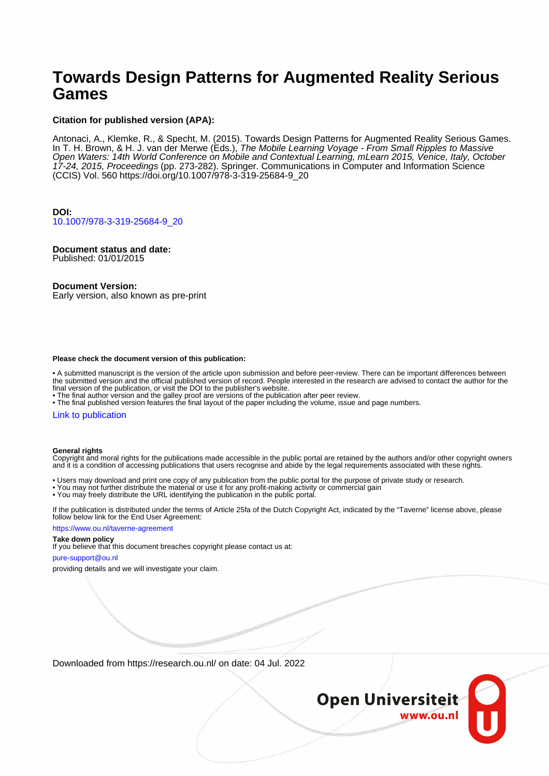# **Towards Design Patterns for Augmented Reality Serious Games**

### **Citation for published version (APA):**

Antonaci, A., Klemke, R., & Specht, M. (2015). Towards Design Patterns for Augmented Reality Serious Games. In T. H. Brown, & H. J. van der Merwe (Eds.), The Mobile Learning Voyage - From Small Ripples to Massive Open Waters: 14th World Conference on Mobile and Contextual Learning, mLearn 2015, Venice, Italy, October 17-24, 2015, Proceedings (pp. 273-282). Springer. Communications in Computer and Information Science (CCIS) Vol. 560 [https://doi.org/10.1007/978-3-319-25684-9\\_20](https://doi.org/10.1007/978-3-319-25684-9_20)

# **DOI:**

[10.1007/978-3-319-25684-9\\_20](https://doi.org/10.1007/978-3-319-25684-9_20)

# **Document status and date:**

Published: 01/01/2015

### **Document Version:**

Early version, also known as pre-print

#### **Please check the document version of this publication:**

• A submitted manuscript is the version of the article upon submission and before peer-review. There can be important differences between the submitted version and the official published version of record. People interested in the research are advised to contact the author for the final version of the publication, or visit the DOI to the publisher's website.

• The final author version and the galley proof are versions of the publication after peer review.

• The final published version features the final layout of the paper including the volume, issue and page numbers.

#### [Link to publication](https://research.ou.nl/en/publications/50476c48-e921-4934-8c42-17ef51f4982f)

#### **General rights**

Copyright and moral rights for the publications made accessible in the public portal are retained by the authors and/or other copyright owners and it is a condition of accessing publications that users recognise and abide by the legal requirements associated with these rights.

- Users may download and print one copy of any publication from the public portal for the purpose of private study or research.
- You may not further distribute the material or use it for any profit-making activity or commercial gain
- You may freely distribute the URL identifying the publication in the public portal.

If the publication is distributed under the terms of Article 25fa of the Dutch Copyright Act, indicated by the "Taverne" license above, please follow below link for the End User Agreement:

#### https://www.ou.nl/taverne-agreement

# **Take down policy**

If you believe that this document breaches copyright please contact us at:

#### pure-support@ou.nl

providing details and we will investigate your claim.

Downloaded from https://research.ou.nl/ on date: 04 Jul. 2022

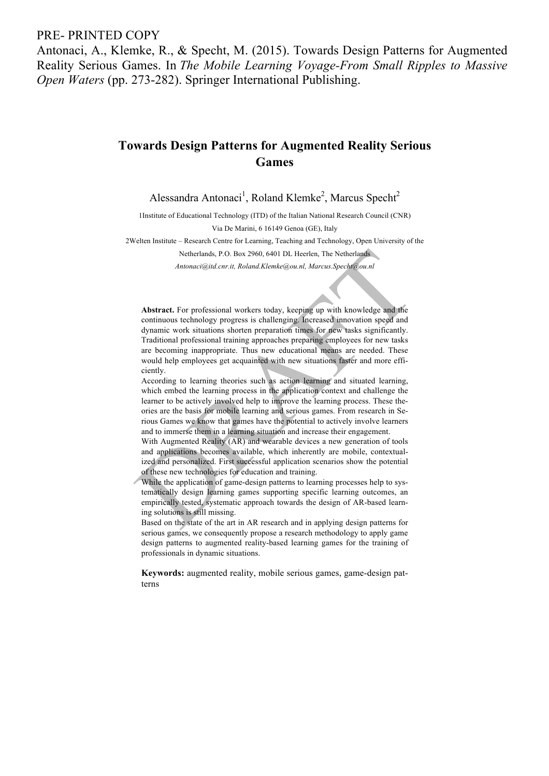# PRE- PRINTED COPY

Antonaci, A., Klemke, R., & Specht, M. (2015). Towards Design Patterns for Augmented Reality Serious Games. In *The Mobile Learning Voyage-From Small Ripples to Massive Open Waters* (pp. 273-282). Springer International Publishing.

# **Towards Design Patterns for Augmented Reality Serious Games**

Alessandra Antonaci<sup>1</sup>, Roland Klemke<sup>2</sup>, Marcus Specht<sup>2</sup>

1Institute of Educational Technology (ITD) of the Italian National Research Council (CNR) Via De Marini, 6 16149 Genoa (GE), Italy

2Welten Institute – Research Centre for Learning, Teaching and Technology, Open University of the

Netherlands, P.O. Box 2960, 6401 DL Heerlen, The Netherlands

*Antonaci@itd.cnr.it, Roland.Klemke@ou.nl, Marcus.Specht@ou.nl*

**Abstract.** For professional workers today, keeping up with knowledge and the continuous technology progress is challenging. Increased innovation speed and dynamic work situations shorten preparation times for new tasks significantly. Traditional professional training approaches preparing employees for new tasks are becoming inappropriate. Thus new educational means are needed. These would help employees get acquainted with new situations faster and more efficiently.

According to learning theories such as action learning and situated learning, which embed the learning process in the application context and challenge the learner to be actively involved help to improve the learning process. These theories are the basis for mobile learning and serious games. From research in Serious Games we know that games have the potential to actively involve learners and to immerse them in a learning situation and increase their engagement.

With Augmented Reality (AR) and wearable devices a new generation of tools and applications becomes available, which inherently are mobile, contextualized and personalized. First successful application scenarios show the potential of these new technologies for education and training.

While the application of game-design patterns to learning processes help to systematically design learning games supporting specific learning outcomes, an empirically tested, systematic approach towards the design of AR-based learning solutions is still missing.

Based on the state of the art in AR research and in applying design patterns for serious games, we consequently propose a research methodology to apply game design patterns to augmented reality-based learning games for the training of professionals in dynamic situations.

**Keywords:** augmented reality, mobile serious games, game-design patterns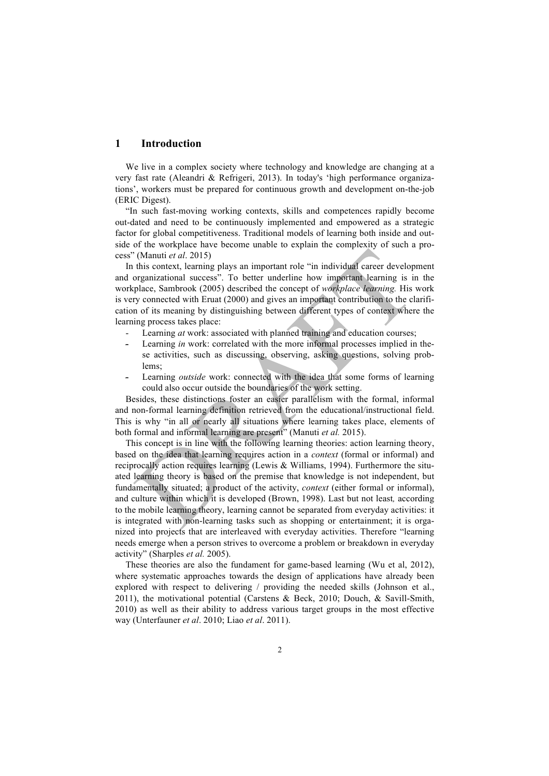# **1 Introduction**

We live in a complex society where technology and knowledge are changing at a very fast rate (Aleandri & Refrigeri, 2013). In today's 'high performance organizations', workers must be prepared for continuous growth and development on-the-job (ERIC Digest).

"In such fast-moving working contexts, skills and competences rapidly become out-dated and need to be continuously implemented and empowered as a strategic factor for global competitiveness. Traditional models of learning both inside and outside of the workplace have become unable to explain the complexity of such a process" (Manuti *et al*. 2015)

In this context, learning plays an important role "in individual career development and organizational success". To better underline how important learning is in the workplace, Sambrook (2005) described the concept of *workplace learning.* His work is very connected with Eruat (2000) and gives an important contribution to the clarification of its meaning by distinguishing between different types of context where the learning process takes place:

- Learning *at* work: associated with planned training and education courses;
- Learning *in* work: correlated with the more informal processes implied in these activities, such as discussing, observing, asking questions, solving problems;
- Learning *outside* work: connected with the idea that some forms of learning could also occur outside the boundaries of the work setting.

Besides, these distinctions foster an easier parallelism with the formal, informal and non-formal learning definition retrieved from the educational/instructional field. This is why "in all or nearly all situations where learning takes place, elements of both formal and informal learning are present" (Manuti *et al.* 2015).

This concept is in line with the following learning theories: action learning theory, based on the idea that learning requires action in a *context* (formal or informal) and reciprocally action requires learning (Lewis & Williams, 1994). Furthermore the situated learning theory is based on the premise that knowledge is not independent, but fundamentally situated; a product of the activity, *context* (either formal or informal), and culture within which it is developed (Brown, 1998). Last but not least*,* according to the mobile learning theory, learning cannot be separated from everyday activities: it is integrated with non-learning tasks such as shopping or entertainment; it is organized into projects that are interleaved with everyday activities. Therefore "learning needs emerge when a person strives to overcome a problem or breakdown in everyday activity" (Sharples *et al.* 2005).

These theories are also the fundament for game-based learning (Wu et al, 2012), where systematic approaches towards the design of applications have already been explored with respect to delivering / providing the needed skills (Johnson et al., 2011), the motivational potential (Carstens & Beck, 2010; Douch, & Savill-Smith, 2010) as well as their ability to address various target groups in the most effective way (Unterfauner *et al*. 2010; Liao *et al*. 2011).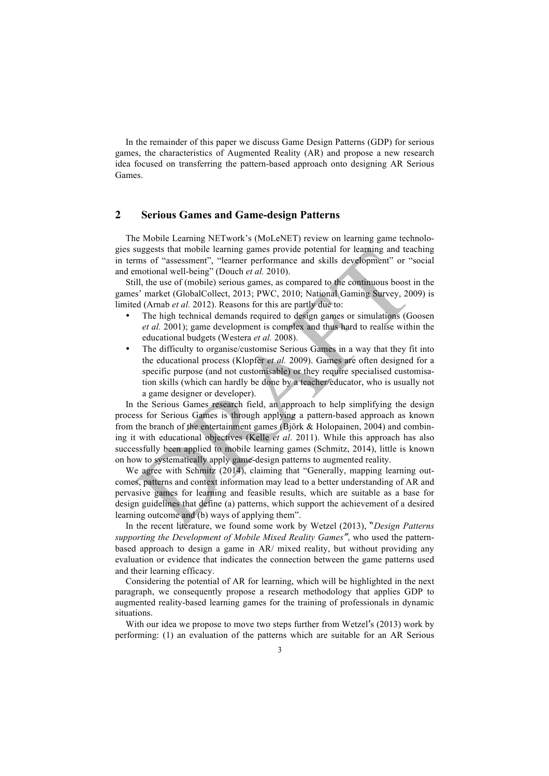In the remainder of this paper we discuss Game Design Patterns (GDP) for serious games, the characteristics of Augmented Reality (AR) and propose a new research idea focused on transferring the pattern-based approach onto designing AR Serious Games.

# **2 Serious Games and Game-design Patterns**

The Mobile Learning NETwork's (MoLeNET) review on learning game technologies suggests that mobile learning games provide potential for learning and teaching in terms of "assessment", "learner performance and skills development" or "social and emotional well-being" (Douch *et al.* 2010).

Still, the use of (mobile) serious games, as compared to the continuous boost in the games' market (GlobalCollect, 2013; PWC, 2010; National Gaming Survey, 2009) is limited (Arnab *et al.* 2012). Reasons for this are partly due to:

- The high technical demands required to design games or simulations (Goosen *et al.* 2001); game development is complex and thus hard to realise within the educational budgets (Westera *et al.* 2008).
- The difficulty to organise/customise Serious Games in a way that they fit into the educational process (Klopfer *et al.* 2009). Games are often designed for a specific purpose (and not customisable) or they require specialised customisation skills (which can hardly be done by a teacher/educator, who is usually not a game designer or developer).

In the Serious Games research field, an approach to help simplifying the design process for Serious Games is through applying a pattern-based approach as known from the branch of the entertainment games (Björk & Holopainen, 2004) and combining it with educational objectives (Kelle *et al*. 2011). While this approach has also successfully been applied to mobile learning games (Schmitz, 2014), little is known on how to systematically apply game-design patterns to augmented reality.

We agree with Schmitz (2014), claiming that "Generally, mapping learning outcomes, patterns and context information may lead to a better understanding of AR and pervasive games for learning and feasible results, which are suitable as a base for design guidelines that define (a) patterns, which support the achievement of a desired learning outcome and (b) ways of applying them".

In the recent literature, we found some work by Wetzel (2013), "*Design Patterns supporting the Development of Mobile Mixed Reality Games"*, who used the patternbased approach to design a game in AR/ mixed reality, but without providing any evaluation or evidence that indicates the connection between the game patterns used and their learning efficacy.

Considering the potential of AR for learning, which will be highlighted in the next paragraph, we consequently propose a research methodology that applies GDP to augmented reality-based learning games for the training of professionals in dynamic situations.

With our idea we propose to move two steps further from Wetzel's (2013) work by performing: (1) an evaluation of the patterns which are suitable for an AR Serious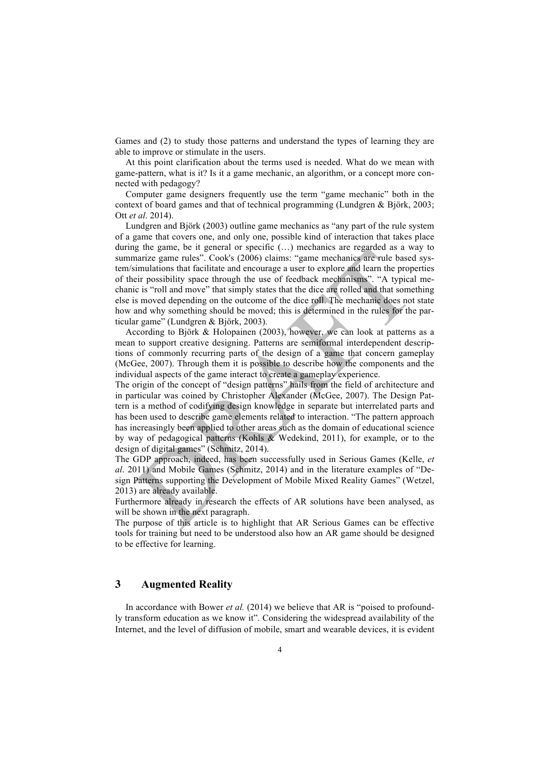Games and (2) to study those patterns and understand the types of learning they are able to improve or stimulate in the users.

At this point clarification about the terms used is needed. What do we mean with game-pattern, what is it? Is it a game mechanic, an algorithm, or a concept more connected with pedagogy?

Computer game designers frequently use the term "game mechanic" both in the context of board games and that of technical programming (Lundgren  $\&$  Björk, 2003; Ott *et al*. 2014).

Lundgren and Björk (2003) outline game mechanics as "any part of the rule system of a game that covers one, and only one, possible kind of interaction that takes place during the game, be it general or specific (…) mechanics are regarded as a way to summarize game rules". Cook's (2006) claims: "game mechanics are rule based system/simulations that facilitate and encourage a user to explore and learn the properties of their possibility space through the use of feedback mechanisms". "A typical mechanic is "roll and move" that simply states that the dice are rolled and that something else is moved depending on the outcome of the dice roll. The mechanic does not state how and why something should be moved; this is determined in the rules for the particular game" (Lundgren & Björk, 2003).

According to Björk & Holopainen (2003), however, we can look at patterns as a mean to support creative designing. Patterns are semiformal interdependent descriptions of commonly recurring parts of the design of a game that concern gameplay (McGee, 2007). Through them it is possible to describe how the components and the individual aspects of the game interact to create a gameplay experience.

The origin of the concept of "design patterns" hails from the field of architecture and in particular was coined by Christopher Alexander (McGee, 2007). The Design Pattern is a method of codifying design knowledge in separate but interrelated parts and has been used to describe game elements related to interaction. "The pattern approach has increasingly been applied to other areas such as the domain of educational science by way of pedagogical patterns (Kohls & Wedekind, 2011), for example, or to the design of digital games" (Schmitz, 2014).

The GDP approach, indeed, has been successfully used in Serious Games (Kelle, *et al*. 2011) and Mobile Games (Schmitz, 2014) and in the literature examples of "Design Patterns supporting the Development of Mobile Mixed Reality Games" (Wetzel, 2013) are already available.

Furthermore already in research the effects of AR solutions have been analysed, as will be shown in the next paragraph.

The purpose of this article is to highlight that AR Serious Games can be effective tools for training but need to be understood also how an AR game should be designed to be effective for learning.

# **3 Augmented Reality**

In accordance with Bower *et al.* (2014) we believe that AR is "poised to profoundly transform education as we know it". Considering the widespread availability of the Internet, and the level of diffusion of mobile, smart and wearable devices, it is evident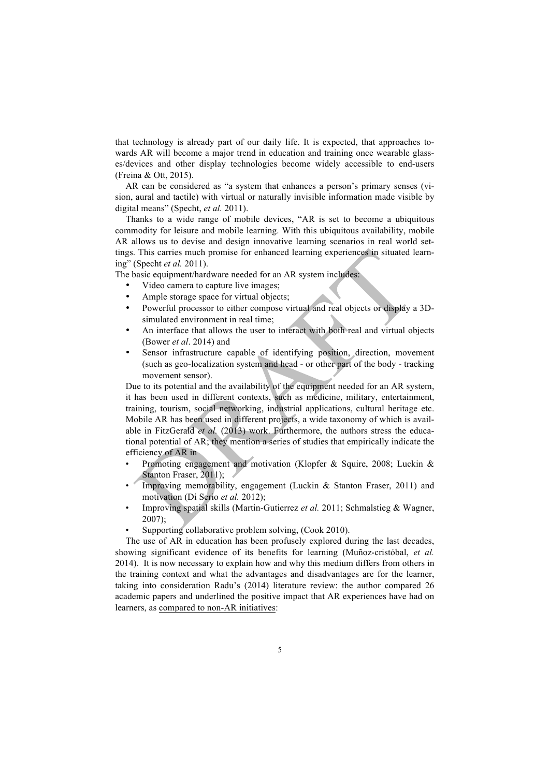that technology is already part of our daily life. It is expected, that approaches towards AR will become a major trend in education and training once wearable glasses/devices and other display technologies become widely accessible to end-users (Freina & Ott, 2015).

AR can be considered as "a system that enhances a person's primary senses (vision, aural and tactile) with virtual or naturally invisible information made visible by digital means" (Specht, *et al.* 2011).

Thanks to a wide range of mobile devices, "AR is set to become a ubiquitous commodity for leisure and mobile learning. With this ubiquitous availability, mobile AR allows us to devise and design innovative learning scenarios in real world settings. This carries much promise for enhanced learning experiences in situated learning" (Specht *et al.* 2011).

The basic equipment/hardware needed for an AR system includes:

- Video camera to capture live images;
- Ample storage space for virtual objects;
- Powerful processor to either compose virtual and real objects or display a 3Dsimulated environment in real time;
- An interface that allows the user to interact with both real and virtual objects (Bower *et al*. 2014) and
- Sensor infrastructure capable of identifying position, direction, movement (such as geo-localization system and head - or other part of the body - tracking movement sensor).

Due to its potential and the availability of the equipment needed for an AR system, it has been used in different contexts, such as medicine, military, entertainment, training, tourism, social networking, industrial applications, cultural heritage etc. Mobile AR has been used in different projects, a wide taxonomy of which is available in FitzGerald *et al.* (2013) work. Furthermore, the authors stress the educational potential of AR; they mention a series of studies that empirically indicate the efficiency of AR in

- Promoting engagement and motivation (Klopfer & Squire, 2008; Luckin & Stanton Fraser, 2011);
- Improving memorability, engagement (Luckin & Stanton Fraser, 2011) and motivation (Di Serio *et al.* 2012);
- Improving spatial skills (Martin-Gutierrez *et al.* 2011; Schmalstieg & Wagner, 2007);
- Supporting collaborative problem solving, (Cook 2010).

The use of AR in education has been profusely explored during the last decades, showing significant evidence of its benefits for learning (Muñoz-cristóbal, *et al.* 2014). It is now necessary to explain how and why this medium differs from others in the training context and what the advantages and disadvantages are for the learner, taking into consideration Radu's (2014) literature review: the author compared 26 academic papers and underlined the positive impact that AR experiences have had on learners, as compared to non-AR initiatives: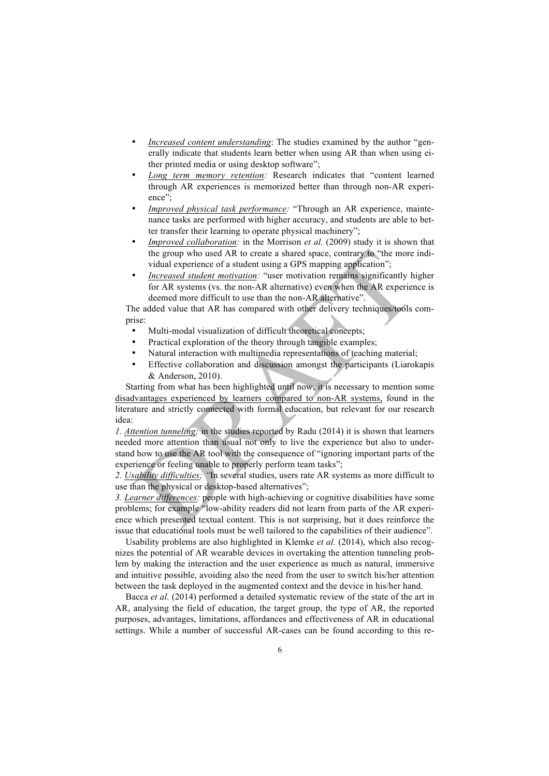- *Increased content understanding*: The studies examined by the author "generally indicate that students learn better when using AR than when using either printed media or using desktop software";
- *Long term memory retention:* Research indicates that "content learned through AR experiences is memorized better than through non-AR experience";
- *Improved physical task performance:* "Through an AR experience, maintenance tasks are performed with higher accuracy, and students are able to better transfer their learning to operate physical machinery";
- *Improved collaboration:* in the Morrison *et al.* (2009) study it is shown that the group who used AR to create a shared space, contrary to "the more individual experience of a student using a GPS mapping application";
- *Increased student motivation:* "user motivation remains significantly higher for AR systems (vs. the non-AR alternative) even when the AR experience is deemed more difficult to use than the non-AR alternative".

The added value that AR has compared with other delivery techniques/tools comprise:

- Multi-modal visualization of difficult theoretical concepts:
- Practical exploration of the theory through tangible examples;
- Natural interaction with multimedia representations of teaching material;
- Effective collaboration and discussion amongst the participants (Liarokapis & Anderson, 2010).

Starting from what has been highlighted until now, it is necessary to mention some disadvantages experienced by learners compared to non-AR systems, found in the literature and strictly connected with formal education, but relevant for our research idea:

*1. Attention tunneling;* in the studies reported by Radu (2014) it is shown that learners needed more attention than usual not only to live the experience but also to understand how to use the AR tool with the consequence of "ignoring important parts of the experience or feeling unable to properly perform team tasks";

*2. Usability difficulties; "*In several studies, users rate AR systems as more difficult to use than the physical or desktop-based alternatives";

*3. Learner differences:* people with high-achieving or cognitive disabilities have some problems; for example "low-ability readers did not learn from parts of the AR experience which presented textual content. This is not surprising, but it does reinforce the issue that educational tools must be well tailored to the capabilities of their audience".

Usability problems are also highlighted in Klemke *et al.* (2014), which also recognizes the potential of AR wearable devices in overtaking the attention tunneling problem by making the interaction and the user experience as much as natural, immersive and intuitive possible, avoiding also the need from the user to switch his/her attention between the task deployed in the augmented context and the device in his/her hand.

Bacca *et al.* (2014) performed a detailed systematic review of the state of the art in AR, analysing the field of education, the target group, the type of AR, the reported purposes, advantages, limitations, affordances and effectiveness of AR in educational settings. While a number of successful AR-cases can be found according to this re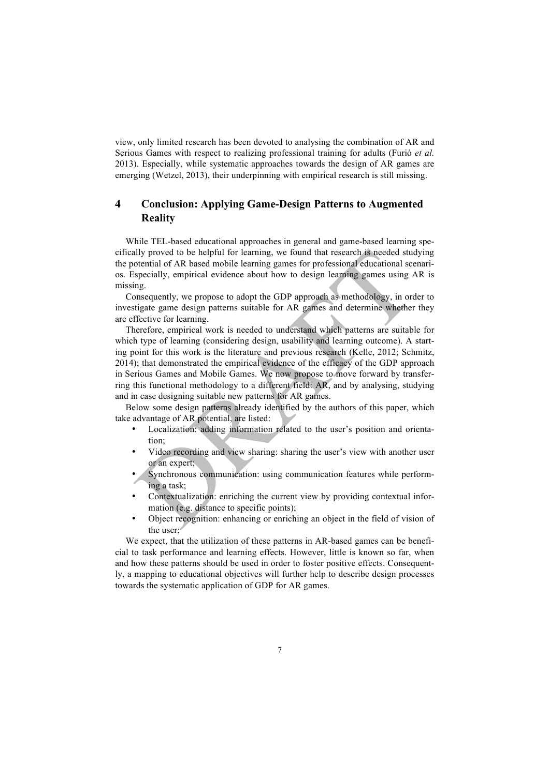view, only limited research has been devoted to analysing the combination of AR and Serious Games with respect to realizing professional training for adults (Furió *et al.* 2013). Especially, while systematic approaches towards the design of AR games are emerging (Wetzel, 2013), their underpinning with empirical research is still missing.

# **4 Conclusion: Applying Game-Design Patterns to Augmented Reality**

While TEL-based educational approaches in general and game-based learning specifically proved to be helpful for learning, we found that research is needed studying the potential of AR based mobile learning games for professional educational scenarios. Especially, empirical evidence about how to design learning games using AR is missing.

Consequently, we propose to adopt the GDP approach as methodology, in order to investigate game design patterns suitable for AR games and determine whether they are effective for learning.

Therefore, empirical work is needed to understand which patterns are suitable for which type of learning (considering design, usability and learning outcome). A starting point for this work is the literature and previous research (Kelle, 2012; Schmitz, 2014); that demonstrated the empirical evidence of the efficacy of the GDP approach in Serious Games and Mobile Games. We now propose to move forward by transferring this functional methodology to a different field: AR, and by analysing, studying and in case designing suitable new patterns for AR games.

Below some design patterns already identified by the authors of this paper, which take advantage of AR potential, are listed:

- Localization: adding information related to the user's position and orientation;
- Video recording and view sharing: sharing the user's view with another user or an expert;
- Synchronous communication: using communication features while performing a task;
- Contextualization: enriching the current view by providing contextual information (e.g. distance to specific points);
- Object recognition: enhancing or enriching an object in the field of vision of the user;

We expect, that the utilization of these patterns in AR-based games can be beneficial to task performance and learning effects. However, little is known so far, when and how these patterns should be used in order to foster positive effects. Consequently, a mapping to educational objectives will further help to describe design processes towards the systematic application of GDP for AR games.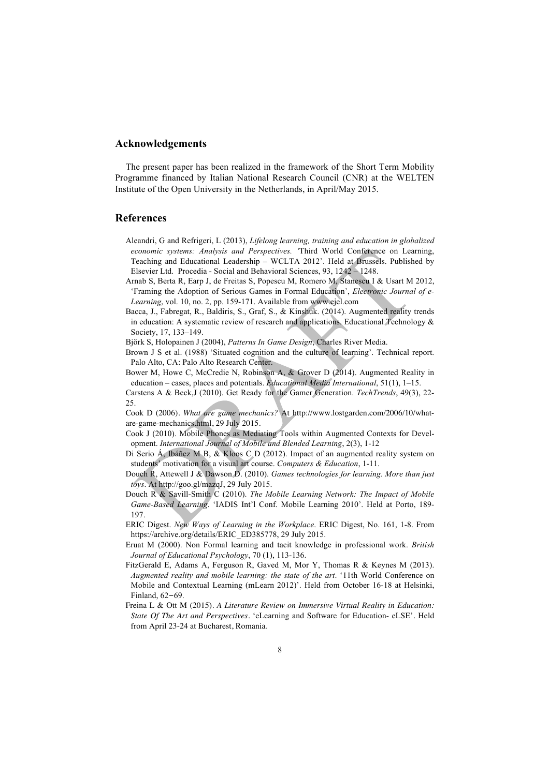### **Acknowledgements**

The present paper has been realized in the framework of the Short Term Mobility Programme financed by Italian National Research Council (CNR) at the WELTEN Institute of the Open University in the Netherlands, in April/May 2015.

# **References**

- Aleandri, G and Refrigeri, L (2013), *Lifelong learning, training and education in globalized economic systems: Analysis and Perspectives. '*Third World Conference on Learning, Teaching and Educational Leadership – WCLTA 2012'. Held at Brussels. Published by Elsevier Ltd. Procedia - Social and Behavioral Sciences, 93, 1242 – 1248.
- Arnab S, Berta R, Earp J, de Freitas S, Popescu M, Romero M, Stanescu I & Usart M 2012, 'Framing the Adoption of Serious Games in Formal Education', *Electronic Journal of e-Learning*, vol. 10, no. 2, pp. 159-171. Available from www.ejel.com
- Bacca, J., Fabregat, R., Baldiris, S., Graf, S., & Kinshuk. (2014). Augmented reality trends in education: A systematic review of research and applications. Educational Technology  $\&$ Society, 17, 133–149.

Björk S, Holopainen J (2004), *Patterns In Game Design*, Charles River Media.

- Brown J S et al. (1988) 'Situated cognition and the culture of learning'. Technical report. Palo Alto, CA: Palo Alto Research Center.
- Bower M, Howe C, McCredie N, Robinson A, & Grover D (2014). Augmented Reality in education – cases, places and potentials. *Educational Media International*, 51(1), 1–15.
- Carstens A & Beck,J (2010). Get Ready for the Gamer Generation. *TechTrends*, 49(3), 22- 25.

Cook D (2006). *What are game mechanics?* At http://www.lostgarden.com/2006/10/whatare-game-mechanics.html, 29 July 2015.

- Cook J (2010). Mobile Phones as Mediating Tools within Augmented Contexts for Development. *International Journal of Mobile and Blended Learning*, 2(3), 1-12
- Di Serio Á, Ibáñez M B, & Kloos C D (2012). Impact of an augmented reality system on students' motivation for a visual art course. *Computers & Education*, 1-11.
- Douch R, Attewell J & Dawson D. (2010). *Games technologies for learning. More than just toys*. At http://goo.gl/mazqJ, 29 July 2015.
- Douch R & Savill-Smith C (2010). *The Mobile Learning Network: The Impact of Mobile Game-Based Learning*. 'IADIS Int'l Conf. Mobile Learning 2010'. Held at Porto, 189- 197.
- ERIC Digest. *New Ways of Learning in the Workplace*. ERIC Digest, No. 161, 1-8. From https://archive.org/details/ERIC\_ED385778, 29 July 2015.
- Eruat M (2000). Non Formal learning and tacit knowledge in professional work. *British Journal of Educational Psychology*, 70 (1), 113-136.
- FitzGerald E, Adams A, Ferguson R, Gaved M, Mor Y, Thomas R & Keynes M (2013). *Augmented reality and mobile learning: the state of the art*. '11th World Conference on Mobile and Contextual Learning (mLearn 2012)'. Held from October 16-18 at Helsinki, Finland, 62–69.
- Freina L & Ott M (2015). *A Literature Review on Immersive Virtual Reality in Education: State Of The Art and Perspectives*. 'eLearning and Software for Education- eLSE'. Held from April 23-24 at Bucharest, Romania.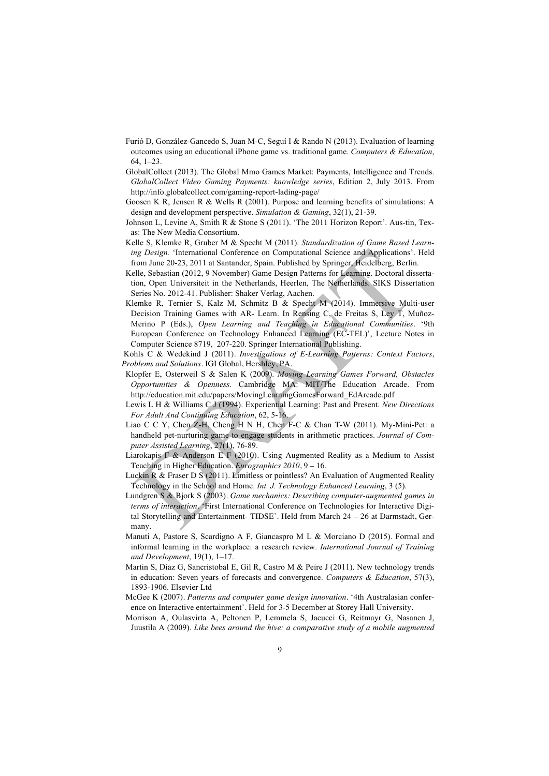- Furió D, González-Gancedo S, Juan M-C, Seguí I & Rando N (2013). Evaluation of learning outcomes using an educational iPhone game vs. traditional game. *Computers & Education*,  $64, 1-23$
- GlobalCollect (2013). The Global Mmo Games Market: Payments, Intelligence and Trends. *GlobalCollect Video Gaming Payments: knowledge series*, Edition 2, July 2013. From http://info.globalcollect.com/gaming-report-lading-page/
- Goosen K R, Jensen R & Wells R (2001). Purpose and learning benefits of simulations: A design and development perspective. *Simulation & Gaming*, 32(1), 21-39.
- Johnson L, Levine A, Smith R & Stone S (2011). 'The 2011 Horizon Report'. Aus-tin, Texas: The New Media Consortium.
- Kelle S, Klemke R, Gruber M & Specht M (2011). *Standardization of Game Based Learning Design.* 'International Conference on Computational Science and Applications'. Held from June 20-23, 2011 at Santander, Spain. Published by Springer, Heidelberg, Berlin.
- Kelle, Sebastian (2012, 9 November) Game Design Patterns for Learning. Doctoral dissertation, Open Universiteit in the Netherlands, Heerlen, The Netherlands. SIKS Dissertation Series No. 2012-41. Publisher: Shaker Verlag, Aachen.
- Klemke R, Ternier S, Kalz M, Schmitz B & Specht M (2014). Immersive Multi-user Decision Training Games with AR- Learn. In Rensing C, de Freitas S, Ley T, Muñoz-Merino P (Eds.), *Open Learning and Teaching in Educational Communities*. '9th European Conference on Technology Enhanced Learning (EC-TEL)', Lecture Notes in Computer Science 8719, 207-220. Springer International Publishing.
- Kohls C & Wedekind J (2011). *Investigations of E-Learning Patterns: Context Factors, Problems and Solutions*. IGI Global, Hershley, PA.
- Klopfer E, Osterweil S & Salen K (2009). *Moving Learning Games Forward, Obstacles Opportunities & Openness*. Cambridge MA: MIT/The Education Arcade. From http://education.mit.edu/papers/MovingLearningGamesForward\_EdArcade.pdf
- Lewis L H & Williams C J (1994). Experiential Learning: Past and Present. *New Directions For Adult And Continuing Education*, 62, 5-16.
- Liao C C Y, Chen Z-H, Cheng H N H, Chen F-C & Chan T-W (2011). My-Mini-Pet: a handheld pet-nurturing game to engage students in arithmetic practices. *Journal of Computer Assisted Learning*, 27(1), 76-89.
- Liarokapis F & Anderson E F (2010). Using Augmented Reality as a Medium to Assist Teaching in Higher Education. *Eurographics 2010*, 9 – 16.
- Luckin R & Fraser D S (2011). Limitless or pointless? An Evaluation of Augmented Reality Technology in the School and Home. *Int. J. Technology Enhanced Learning*, 3 (5).
- Lundgren S & Bjork S (2003). *Game mechanics: Describing computer-augmented games in terms of interaction*. 'First International Conference on Technologies for Interactive Digital Storytelling and Entertainment- TIDSE'. Held from March 24 – 26 at Darmstadt, Germany.
- Manuti A, Pastore S, Scardigno A F, Giancaspro M L & Morciano D (2015). Formal and informal learning in the workplace: a research review. *International Journal of Training and Development*, 19(1), 1–17.
- Martin S, Diaz G, Sancristobal E, Gil R, Castro M & Peire J (2011). New technology trends in education: Seven years of forecasts and convergence. *Computers & Education*, 57(3), 1893-1906. Elsevier Ltd
- McGee K (2007). *Patterns and computer game design innovation*. '4th Australasian conference on Interactive entertainment'. Held for 3-5 December at Storey Hall University.
- Morrison A, Oulasvirta A, Peltonen P, Lemmela S, Jacucci G, Reitmayr G, Nasanen J, Juustila A (2009). *Like bees around the hive: a comparative study of a mobile augmented*